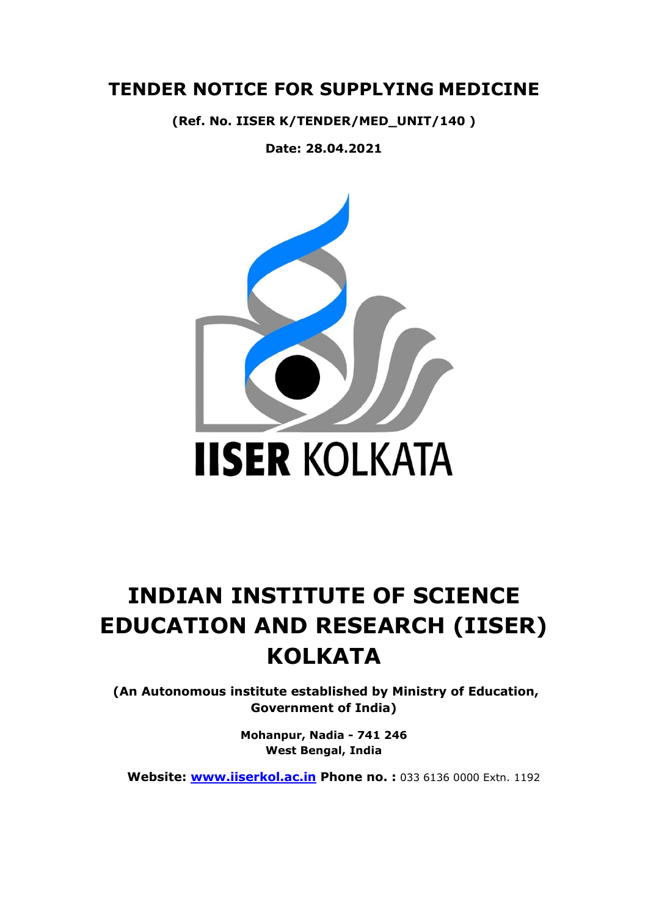# **TENDER NOTICE FOR SUPPLYING MEDICINE**

**(Ref. No. IISER K/TENDER/MED\_UNIT/140 )**

**Date: 28.04.2021**



# **INDIAN INSTITUTE OF SCIENCE EDUCATION AND RESEARCH (IISER) KOLKATA**

**(An Autonomous institute established by Ministry of Education, Government of India)**

> **Mohanpur, Nadia - 741 246 West Bengal, India**

 **Website: [www.iiserkol.ac.in](http://www.iiserkol.ac.in/) Phone no. :** 033 6136 0000 Extn. 1192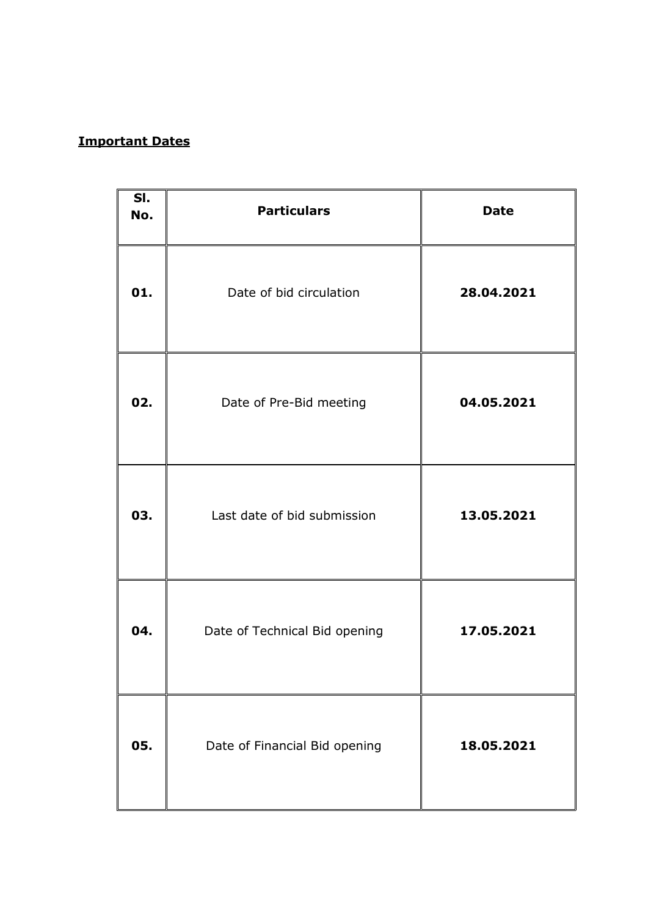# **Important Dates**

| SI.<br>No. | <b>Particulars</b>            | <b>Date</b> |
|------------|-------------------------------|-------------|
| 01.        | Date of bid circulation       | 28.04.2021  |
| 02.        | Date of Pre-Bid meeting       | 04.05.2021  |
| 03.        | Last date of bid submission   | 13.05.2021  |
| 04.        | Date of Technical Bid opening | 17.05.2021  |
| 05.        | Date of Financial Bid opening | 18.05.2021  |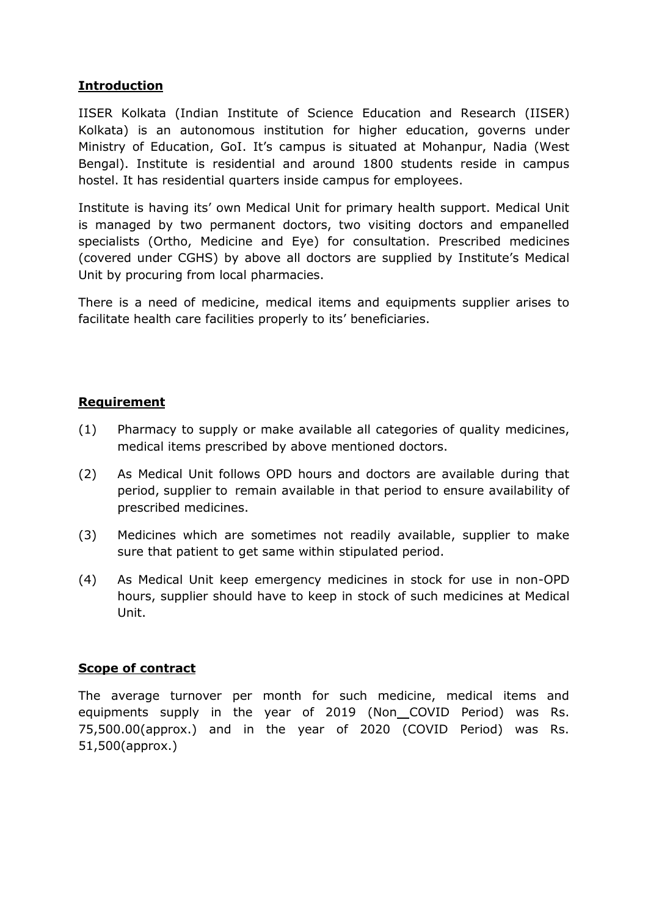# **Introduction**

IISER Kolkata (Indian Institute of Science Education and Research (IISER) Kolkata) is an autonomous institution for higher education, governs under Ministry of Education, GoI. It's campus is situated at Mohanpur, Nadia (West Bengal). Institute is residential and around 1800 students reside in campus hostel. It has residential quarters inside campus for employees.

Institute is having its' own Medical Unit for primary health support. Medical Unit is managed by two permanent doctors, two visiting doctors and empanelled specialists (Ortho, Medicine and Eye) for consultation. Prescribed medicines (covered under CGHS) by above all doctors are supplied by Institute's Medical Unit by procuring from local pharmacies.

There is a need of medicine, medical items and equipments supplier arises to facilitate health care facilities properly to its' beneficiaries.

### **Requirement**

- (1) Pharmacy to supply or make available all categories of quality medicines, medical items prescribed by above mentioned doctors.
- (2) As Medical Unit follows OPD hours and doctors are available during that period, supplier to remain available in that period to ensure availability of prescribed medicines.
- (3) Medicines which are sometimes not readily available, supplier to make sure that patient to get same within stipulated period.
- (4) As Medical Unit keep emergency medicines in stock for use in non-OPD hours, supplier should have to keep in stock of such medicines at Medical Unit.

#### **Scope of contract**

The average turnover per month for such medicine, medical items and equipments supply in the year of 2019 (Non COVID Period) was Rs. 75,500.00(approx.) and in the year of 2020 (COVID Period) was Rs. 51,500(approx.)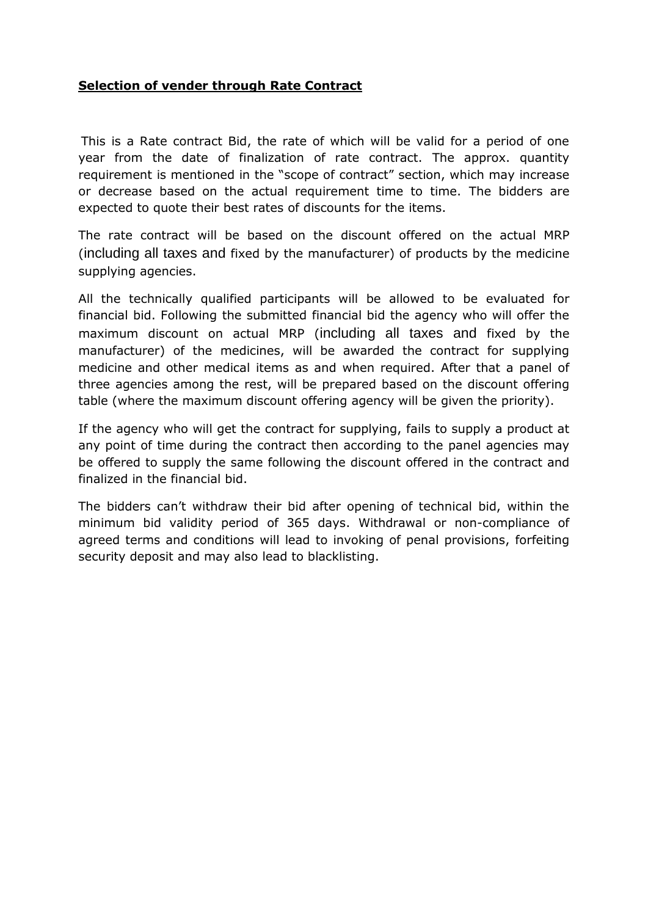### **Selection of vender through Rate Contract**

This is a Rate contract Bid, the rate of which will be valid for a period of one year from the date of finalization of rate contract. The approx. quantity requirement is mentioned in the "scope of contract" section, which may increase or decrease based on the actual requirement time to time. The bidders are expected to quote their best rates of discounts for the items.

The rate contract will be based on the discount offered on the actual MRP (including all taxes and fixed by the manufacturer) of products by the medicine supplying agencies.

All the technically qualified participants will be allowed to be evaluated for financial bid. Following the submitted financial bid the agency who will offer the maximum discount on actual MRP (including all taxes and fixed by the manufacturer) of the medicines, will be awarded the contract for supplying medicine and other medical items as and when required. After that a panel of three agencies among the rest, will be prepared based on the discount offering table (where the maximum discount offering agency will be given the priority).

If the agency who will get the contract for supplying, fails to supply a product at any point of time during the contract then according to the panel agencies may be offered to supply the same following the discount offered in the contract and finalized in the financial bid.

The bidders can't withdraw their bid after opening of technical bid, within the minimum bid validity period of 365 days. Withdrawal or non-compliance of agreed terms and conditions will lead to invoking of penal provisions, forfeiting security deposit and may also lead to blacklisting.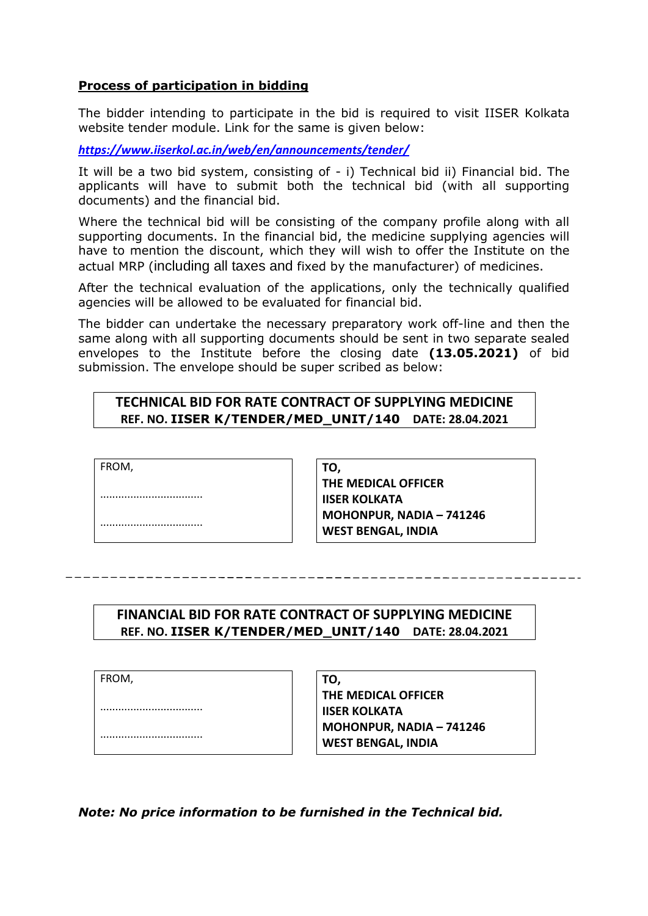#### **Process of participation in bidding**

The bidder intending to participate in the bid is required to visit IISER Kolkata website tender module. Link for the same is given below:

*<https://www.iiserkol.ac.in/web/en/announcements/tender/>*

It will be a two bid system, consisting of - i) Technical bid ii) Financial bid. The applicants will have to submit both the technical bid (with all supporting documents) and the financial bid.

Where the technical bid will be consisting of the company profile along with all supporting documents. In the financial bid, the medicine supplying agencies will have to mention the discount, which they will wish to offer the Institute on the actual MRP (including all taxes and fixed by the manufacturer) of medicines.

After the technical evaluation of the applications, only the technically qualified agencies will be allowed to be evaluated for financial bid.

The bidder can undertake the necessary preparatory work off-line and then the same along with all supporting documents should be sent in two separate sealed envelopes to the Institute before the closing date **(13.05.2021)** of bid submission. The envelope should be super scribed as below:

#### **TECHNICAL BID FOR RATE CONTRACT OF SUPPLYING MEDICINE REF. NO. IISER K/TENDER/MED\_UNIT/140 DATE: 28.04.2021**

FROM,

.................................. ..................................

**TO, THE MEDICAL OFFICER IISER KOLKATA MOHONPUR, NADIA – 741246 WEST BENGAL, INDIA**

# **FINANCIAL BID FOR RATE CONTRACT OF SUPPLYING MEDICINE REF. NO. IISER K/TENDER/MED\_UNIT/140 DATE: 28.04.2021**

FROM,

..................................

..................................

**TO, THE MEDICAL OFFICER IISER KOLKATA MOHONPUR, NADIA – 741246 WEST BENGAL, INDIA**

*Note: No price information to be furnished in the Technical bid.*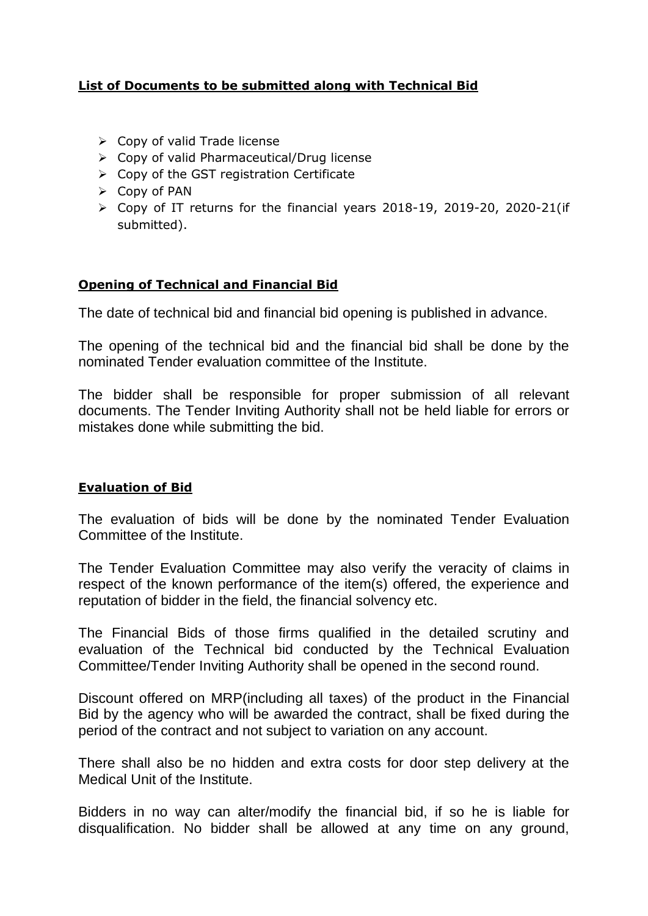# **List of Documents to be submitted along with Technical Bid**

- $\triangleright$  Copy of valid Trade license
- Copy of valid Pharmaceutical/Drug license
- $\triangleright$  Copy of the GST registration Certificate
- $\triangleright$  Copy of PAN
- $\triangleright$  Copy of IT returns for the financial years 2018-19, 2019-20, 2020-21(if submitted).

# **Opening of Technical and Financial Bid**

The date of technical bid and financial bid opening is published in advance.

The opening of the technical bid and the financial bid shall be done by the nominated Tender evaluation committee of the Institute.

The bidder shall be responsible for proper submission of all relevant documents. The Tender Inviting Authority shall not be held liable for errors or mistakes done while submitting the bid.

#### **Evaluation of Bid**

The evaluation of bids will be done by the nominated Tender Evaluation Committee of the Institute.

The Tender Evaluation Committee may also verify the veracity of claims in respect of the known performance of the item(s) offered, the experience and reputation of bidder in the field, the financial solvency etc.

The Financial Bids of those firms qualified in the detailed scrutiny and evaluation of the Technical bid conducted by the Technical Evaluation Committee/Tender Inviting Authority shall be opened in the second round.

Discount offered on MRP(including all taxes) of the product in the Financial Bid by the agency who will be awarded the contract, shall be fixed during the period of the contract and not subject to variation on any account.

There shall also be no hidden and extra costs for door step delivery at the Medical Unit of the Institute.

Bidders in no way can alter/modify the financial bid, if so he is liable for disqualification. No bidder shall be allowed at any time on any ground,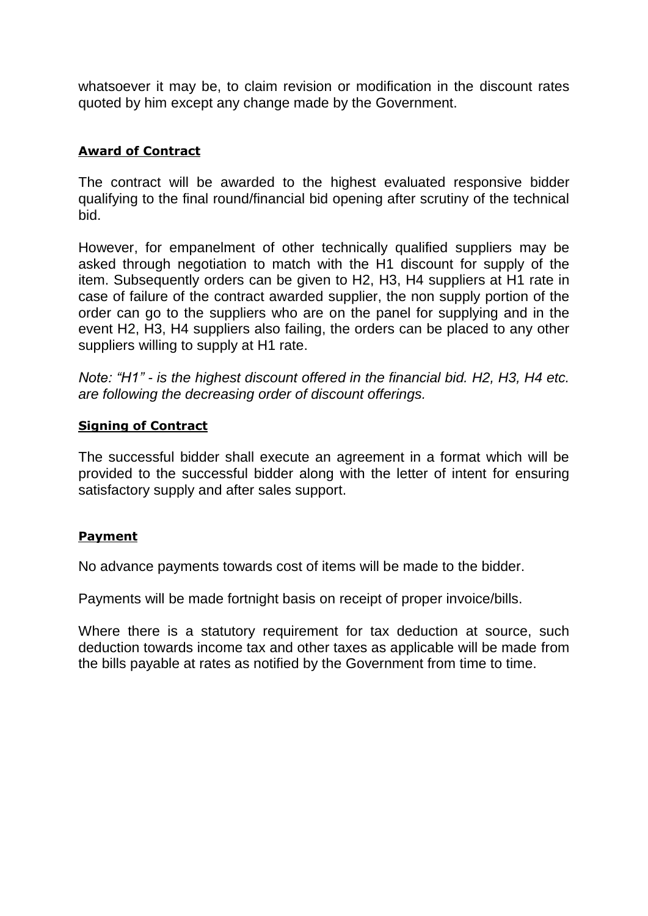whatsoever it may be, to claim revision or modification in the discount rates quoted by him except any change made by the Government.

# **Award of Contract**

The contract will be awarded to the highest evaluated responsive bidder qualifying to the final round/financial bid opening after scrutiny of the technical bid.

However, for empanelment of other technically qualified suppliers may be asked through negotiation to match with the H1 discount for supply of the item. Subsequently orders can be given to H2, H3, H4 suppliers at H1 rate in case of failure of the contract awarded supplier, the non supply portion of the order can go to the suppliers who are on the panel for supplying and in the event H2, H3, H4 suppliers also failing, the orders can be placed to any other suppliers willing to supply at H1 rate.

*Note: "H1" - is the highest discount offered in the financial bid. H2, H3, H4 etc. are following the decreasing order of discount offerings.*

### **Signing of Contract**

The successful bidder shall execute an agreement in a format which will be provided to the successful bidder along with the letter of intent for ensuring satisfactory supply and after sales support.

# **Payment**

No advance payments towards cost of items will be made to the bidder.

Payments will be made fortnight basis on receipt of proper invoice/bills.

Where there is a statutory requirement for tax deduction at source, such deduction towards income tax and other taxes as applicable will be made from the bills payable at rates as notified by the Government from time to time.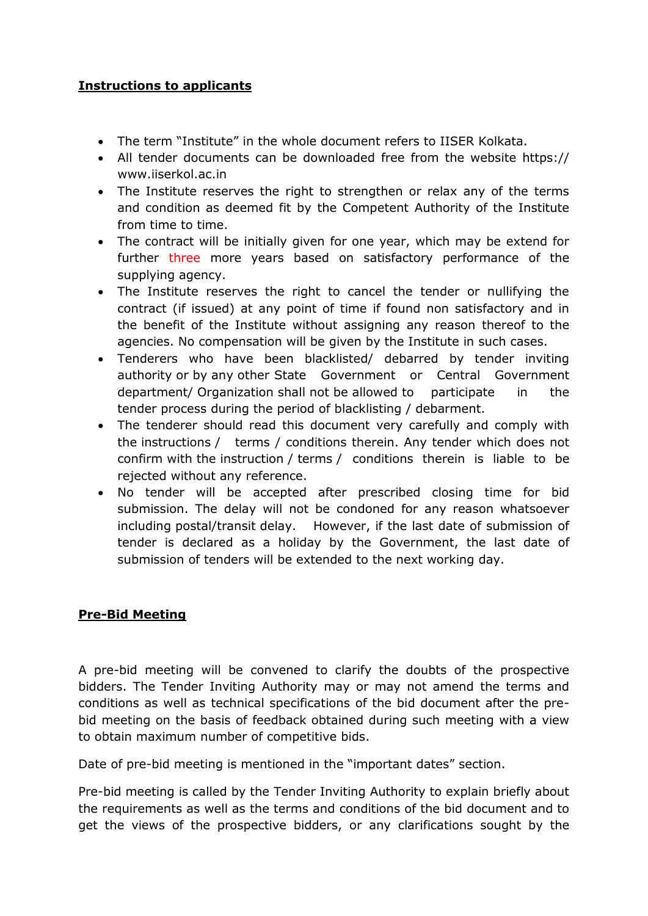# **Instructions to applicants**

- The term "Institute" in the whole document refers to IISER Kolkata.
- All tender documents can be downloaded free from the website https:// [www.iiserkol.ac.in](http://www.iiserkol.ac.in/)
- The Institute reserves the right to strengthen or relax any of the terms and condition as deemed fit by the Competent Authority of the Institute from time to time.
- The contract will be initially given for one year, which may be extend for further three more years based on satisfactory performance of the supplying agency.
- The Institute reserves the right to cancel the tender or nullifying the contract (if issued) at any point of time if found non satisfactory and in the benefit of the Institute without assigning any reason thereof to the agencies. No compensation will be given by the Institute in such cases.
- Tenderers who have been blacklisted/ debarred by tender inviting authority or by any other State Government or Central Government department/ Organization shall not be allowed to participate in the tender process during the period of blacklisting / debarment.
- The tenderer should read this document very carefully and comply with the instructions / terms / conditions therein. Any tender which does not confirm with the instruction / terms / conditions therein is liable to be rejected without any reference.
- No tender will be accepted after prescribed closing time for bid submission. The delay will not be condoned for any reason whatsoever including postal/transit delay. However, if the last date of submission of tender is declared as a holiday by the Government, the last date of submission of tenders will be extended to the next working day.

# **Pre-Bid Meeting**

A pre-bid meeting will be convened to clarify the doubts of the prospective bidders. The Tender Inviting Authority may or may not amend the terms and conditions as well as technical specifications of the bid document after the prebid meeting on the basis of feedback obtained during such meeting with a view to obtain maximum number of competitive bids.

Date of pre-bid meeting is mentioned in the "important dates" section.

Pre-bid meeting is called by the Tender Inviting Authority to explain briefly about the requirements as well as the terms and conditions of the bid document and to get the views of the prospective bidders, or any clarifications sought by the